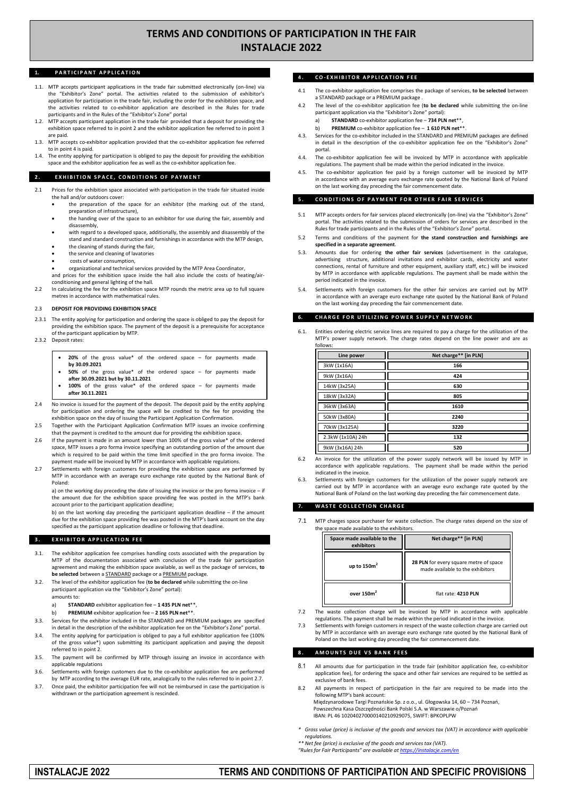# **TERMS AND CONDITIONS OF PARTICIPATION IN THE FAIR INSTALACJE 2022**

# 1. **PARTICIPANT APPLICATION**

- 1.1. MTP accepts participant applications in the trade fair submitted electronically (on-line) via the "Exhibitor's Zone" portal. The activities related to the submission of exhibitor's application for participation in the trade fair, including the order for the exhibition space, and the activities related to co-exhibitor application are described in the Rules for trade participants and in the Rules of the "Exhibitor's Zone" portal
- 1.2. MTP accepts participant application in the trade fair provided that a deposit for providing the exhibition space referred to in point 2 and the exhibitor application fee referred to in point 3 are paid.
- 1.3. MTP accepts co-exhibitor application provided that the co-exhibitor application fee referred to in point 4 is paid.
- The entity applying for participation is obliged to pay the deposit for providing the exhibition space and the exhibitor application fee as well as the co-exhibitor application fee.

#### **2. EXHIBITION SPACE, CONDITIONS OF PAYMENT**

- 2.1 Prices for the exhibition space associated with participation in the trade fair situated inside the hall and/or outdoors cover:
	- the preparation of the space for an exhibitor (the marking out of the stand, preparation of infrastructure),
	- the handing over of the space to an exhibitor for use during the fair, assembly and disassembly,
	- with regard to a developed space, additionally, the assembly and disassembly of the stand and standard construction and furnishings in accordance with the MTP design,
	- the cleaning of stands during the fair,
	- the service and cleaning of lavatories
	- costs of water consumption,

 organizational and technical services provided by the MTP Area Coordinator, and prices for the exhibition space inside the hall also include the costs of heating/air-

conditioning and general lighting of the hall. 2.2 In calculating the fee for the exhibition space MTP rounds the metric area up to full square metres in accordance with mathematical rules.

#### 2.3 **DEPOSIT FOR PROVIDING EXHIBITION SPACE**

- 2.3.1 The entity applying for participation and ordering the space is obliged to pay the deposit for providing the exhibition space. The payment of the deposit is a prerequisite for acceptance of the participant application by MTP.
- 2.3.2 Deposit rates:
	- **20%** of the gross value\* of the ordered space for payments made **by 30.09.2021**
	- **50%** of the gross value\* of the ordered space for payments made **after 30.09.2021 but by 30.11.2021**
	- **100%** of the gross value\* of the ordered space for payments made **after 30.11.2021**
- 2.4 No invoice is issued for the payment of the deposit. The deposit paid by the entity applying for participation and ordering the space will be credited to the fee for providing the exhibition space on the day of issuing the Participant Application Confirmation.
- 2.5 Together with the Participant Application Confirmation MTP issues an invoice confirming that the payment is credited to the amount due for providing the exhibition space.
- 2.6 If the payment is made in an amount lower than 100% of the gross value\* of the ordered space, MTP issues a pro forma invoice specifying an outstanding portion of the amount due which is required to be paid within the time limit specified in the pro forma invoice. The payment made will be invoiced by MTP in accordance with applicable regulations.
- 2.7 Settlements with foreign customers for providing the exhibition space are performed by MTP in accordance with an average euro exchange rate quoted by the National Bank of Poland:

a) on the working day preceding the date of issuing the invoice or the pro forma invoice – if the amount due for the exhibition space providing fee was posted in the MTP's bank account prior to the participant application deadline;

b) on the last working day preceding the participant application deadline – if the amount due for the exhibition space providing fee was posted in the MTP's bank account on the day specified as the participant application deadline or following that deadline.

## **3 . E X H I B I T O R A P P L I C A T I O N F E E**

- 3.1. The exhibitor application fee comprises handling costs associated with the preparation by MTP of the documentation associated with conclusion of the trade fair participation agreement and making the exhibition space available, as well as the package of services, **to be selected** between a STANDARD package or a PREMIUM package.
- 3.2. The level of the exhibitor application fee (**to be declared** while submitting the on-line participant application via the "Exhibitor's Zone" portal):
	- amounts to:
	- a) **STANDARD** exhibitor application fee **1 435 PLN net**\*\*,
	- b) **PREMIUM** exhibitor application fee **2 165 PLN net**\*\*.
- 3.3. Services for the exhibitor included in the STANDARD and PREMIUM packages are specified in detail in the description of the exhibitor application fee on the "Exhibitor's Zone" portal.
- 3.4. The entity applying for participation is obliged to pay a full exhibitor application fee (100% of the gross value\*) upon submitting its participant application and paying the deposit
- referred to in point 2. 3.5. The payment will be confirmed by MTP through issuing an invoice in accordance with applicable regulations
- 3.6. Settlements with foreign customers due to the co-exhibitor application fee are performed by MTP according to the average EUR rate, analogically to the rules referred to in point 2.7.
- 3.7. Once paid, the exhibitor participation fee will not be reimbursed in case the participation is withdrawn or the participation agreement is rescinded.

# **4 . C O - E X H I B I T O R A P P L I C A T I O N F E E**

- 4.1 The co-exhibitor application fee comprises the package of services, **to be selected** between a STANDARD package or a PREMIUM package .
- 4.2 The level of the co-exhibitor application fee (**to be declared** while submitting the on-line participant application via the "Exhibitor's Zone" portal):
	- a) **STANDARD** co-exhibitor application fee **734 PLN net**\*\*,
	- b) **PREMIUM** co-exhibitor application fee **1 610 PLN net**\*\*.
- 4.3. Services for the co-exhibitor included in the STANDARD and PREMIUM packages are defined in detail in the description of the co-exhibitor application fee on the "Exhibitor's Zone" portal.
- 4.4. The co-exhibitor application fee will be invoiced by MTP in accordance with applicable regulations. The payment shall be made within the period indicated in the invoice.
- The co-exhibitor application fee paid by a foreign customer will be invoiced by MTP in accordance with an average euro exchange rate quoted by the National Bank of Poland on the last working day preceding the fair commencement date.

### **5. CONDITIONS OF PAYMENT FOR OTHER FAIR SERVICES**

- 5.1 MTP accepts orders for fair services placed electronically (on-line) via the "Exhibitor's Zone" portal. The activities related to the submission of orders for services are described in the Rules for trade participants and in the Rules of the "Exhibitor's Zone" portal.
- 5.2 Terms and conditions of the payment for **the stand construction and furnishings are specified in a separate agreement**.
- 5.3. Amounts due for ordering **the other fair services** (advertisement in the catalogue, advertising structure, additional invitations and exhibitor cards, electricity and water connections, rental of furniture and other equipment, auxiliary staff, etc.) will be invoiced by MTP in accordance with applicable regulations. The payment shall be made within the period indicated in the invoice.
- Settlements with foreign customers for the other fair services are carried out by MTP in accordance with an average euro exchange rate quoted by the National Bank of Poland on the last working day preceding the fair commencement date.

# **CHARGE FOR UTILIZING POWER SUPPLY NETWORK**

Entities ordering electric service lines are required to pay a charge for the utilization of the MTP's power supply network. The charge rates depend on the line power and are as follows:

| Line power        | Net charge** [in PLN] |
|-------------------|-----------------------|
| 3kW (1x16A)       | 166                   |
| 9kW (3x16A)       | 424                   |
| 14kW (3x25A)      | 630                   |
| 18kW (3x32A)      | 805                   |
| 36kW (3x63A)      | 1610                  |
| 50kW (3x80A)      | 2240                  |
| 70kW (3x125A)     | 3220                  |
| 2.3kW (1x10A) 24h | 132                   |
| 9kW (3x16A) 24h   | 520                   |

- 6.2 An invoice for the utilization of the power supply network will be issued by MTP in accordance with applicable regulations. The payment shall be made within the period indicated in the invoice.
- 6.3. Settlements with foreign customers for the utilization of the power supply network are carried out by MTP in accordance with an average euro exchange rate quoted by the National Bank of Poland on the last working day preceding the fair commencement date.

## **WASTE COLLECTION CHARGE**

7.1 MTP charges space purchaser for waste collection. The charge rates depend on the size of the space made available to the exhibitors.

| Space made available to the<br>exhibitors | Net charge** [in PLN]                                                      |
|-------------------------------------------|----------------------------------------------------------------------------|
| up to $150m2$                             | 28 PLN for every square metre of space<br>made available to the exhibitors |
| over 150 <sub>m<sup>2</sup></sub>         | flat rate: 4210 PLN                                                        |

- 7.2 The waste collection charge will be invoiced by MTP in accordance with applicable regulations. The payment shall be made within the period indicated in the invoice.
- 7.3 Settlements with foreign customers in respect of the waste collection charge are carried out by MTP in accordance with an average euro exchange rate quoted by the National Bank of Poland on the last working day preceding the fair commencement date.

#### **8 . A M O U N T S D U E V S B A N K F E E S**

- 8.1 All amounts due for participation in the trade fair (exhibitor application fee, co-exhibitor application fee), for ordering the space and other fair services are required to be settled as exclusive of bank fees.
- 8.2 All payments in respect of participation in the fair are required to be made into the following MTP's bank account: Międzynarodowe Targi Poznańskie Sp. z o.o., ul. Głogowska 14, 60 – 734 Poznań,
	- Powszechna Kasa Oszczędności Bank Polski S.A. w Warszawie o/Poznań IBAN: PL 46 102040270000140210929075, SWIFT: BPKOPLPW
- *\* Gross value (price) is inclusive of the goods and services tax (VAT) in accordance with applicable regulations.*

*\*\* Net fee (price) is exclusive of the goods and services tax (VAT). "Rules for Fair Participants" are available a[t https://instalacje.com/en](https://instalacje.com/en)*

# **INSTALACJE 2022 TERMS AND CONDITIONS OF PARTICIPATION AND SPECIFIC PROVISIONS**